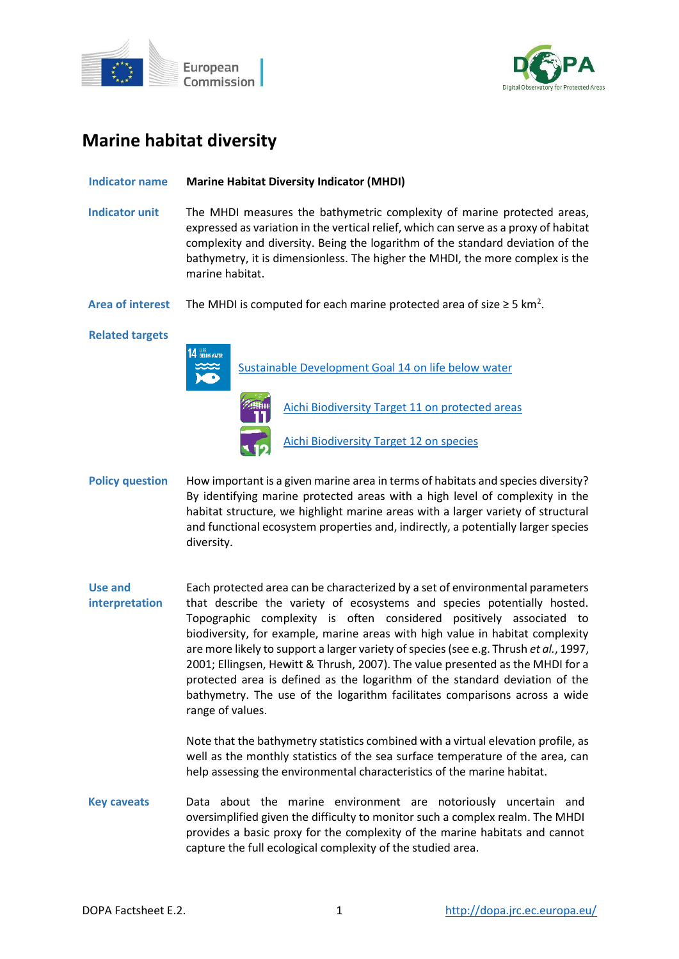



# **Marine habitat diversity**

## **Indicator name Marine Habitat Diversity Indicator (MHDI)**

- **Indicator unit** The MHDI measures the bathymetric complexity of marine protected areas, expressed as variation in the vertical relief, which can serve as a proxy of habitat complexity and diversity. Being the logarithm of the standard deviation of the bathymetry, it is dimensionless. The higher the MHDI, the more complex is the marine habitat.
- Area of interest The MHDI is computed for each marine protected area of size  $\geq 5$  km<sup>2</sup>.

### **Related targets**



[Sustainable Development Goal 14 on life below](https://sdgs.un.org/goals/goal14) water



[Aichi Biodiversity Target 11 on protected areas](http://www.cbd.int/sp/targets/rationale/target-11/) [Aichi Biodiversity Target 12 on species](http://www.cbd.int/sp/targets/rationale/target-12/)

- Policy question How important is a given marine area in terms of habitats and species diversity? By identifying marine protected areas with a high level of complexity in the habitat structure, we highlight marine areas with a larger variety of structural and functional ecosystem properties and, indirectly, a potentially larger species diversity.
- **Use and interpretation** Each protected area can be characterized by a set of environmental parameters that describe the variety of ecosystems and species potentially hosted. Topographic complexity is often considered positively associated to biodiversity, for example, marine areas with high value in habitat complexity are more likely to support a larger variety of species (see e.g. Thrush *et al.*, 1997, 2001; Ellingsen, Hewitt & Thrush, 2007). The value presented as the MHDI for a protected area is defined as the logarithm of the standard deviation of the bathymetry. The use of the logarithm facilitates comparisons across a wide range of values.

Note that the bathymetry statistics combined with a virtual elevation profile, as well as the monthly statistics of the sea surface temperature of the area, can help assessing the environmental characteristics of the marine habitat.

**Key caveats** Data about the marine environment are notoriously uncertain and oversimplified given the difficulty to monitor such a complex realm. The MHDI provides a basic proxy for the complexity of the marine habitats and cannot capture the full ecological complexity of the studied area.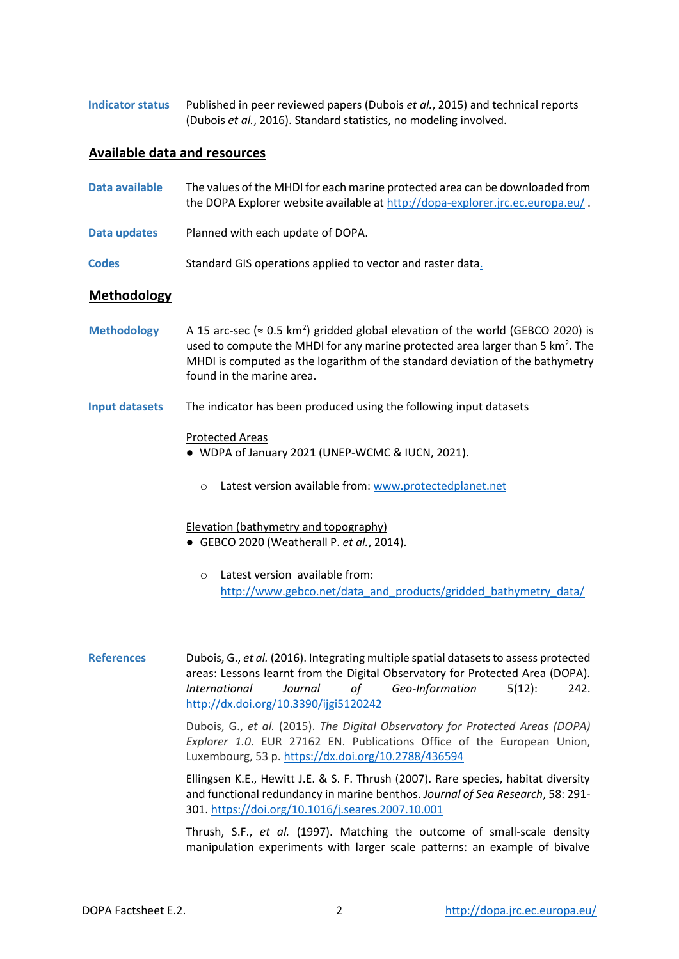**Indicator status** Published in peer reviewed papers (Dubois *et al.*, 2015) and technical reports (Dubois *et al.*, 2016). Standard statistics, no modeling involved.

## **Available data and resources**

| Data available     | The values of the MHDI for each marine protected area can be downloaded from<br>the DOPA Explorer website available at http://dopa-explorer.jrc.ec.europa.eu/. |
|--------------------|----------------------------------------------------------------------------------------------------------------------------------------------------------------|
| Data updates       | Planned with each update of DOPA.                                                                                                                              |
| <b>Codes</b>       | Standard GIS operations applied to vector and raster data.                                                                                                     |
| <b>Methodology</b> |                                                                                                                                                                |

- Methodology  $A$  15 arc-sec ( $\approx$  0.5 km<sup>2</sup>) gridded global elevation of the world (GEBCO 2020) is used to compute the MHDI for any marine protected area larger than 5  $km<sup>2</sup>$ . The MHDI is computed as the logarithm of the standard deviation of the bathymetry found in the marine area.
- **Input datasets** The indicator has been produced using the following input datasets

### Protected Areas

- WDPA of January 2021 (UNEP-WCMC & IUCN, 2021).
	- o Latest version available from[: www.protectedplanet.net](http://www.protectedplanet.net/)

#### Elevation (bathymetry and topography)

- GEBCO 2020 (Weatherall P. *et al.*, 2014).
	- o Latest version available from: [http://www.gebco.net/data\\_and\\_products/gridded\\_bathymetry\\_data/](https://www.gebco.net/data_and_products/gridded_bathymetry_data/)
- **References** Dubois, G., *et al.* (2016). Integrating multiple spatial datasets to assess protected areas: Lessons learnt from the Digital Observatory for Protected Area (DOPA). *International Journal of Geo-Information* 5(12): 242. <http://dx.doi.org/10.3390/ijgi5120242>

Dubois, G., *et al.* (2015). *The Digital Observatory for Protected Areas (DOPA) Explorer 1.0*. EUR 27162 EN. Publications Office of the European Union, Luxembourg, 53 p. <https://dx.doi.org/10.2788/436594>

Ellingsen K.E., Hewitt J.E. & S. F. Thrush (2007). Rare species, habitat diversity and functional redundancy in marine benthos. *Journal of Sea Research*, 58: 291- 301.<https://doi.org/10.1016/j.seares.2007.10.001>

Thrush, S.F., *et al.* (1997). Matching the outcome of small-scale density manipulation experiments with larger scale patterns: an example of bivalve